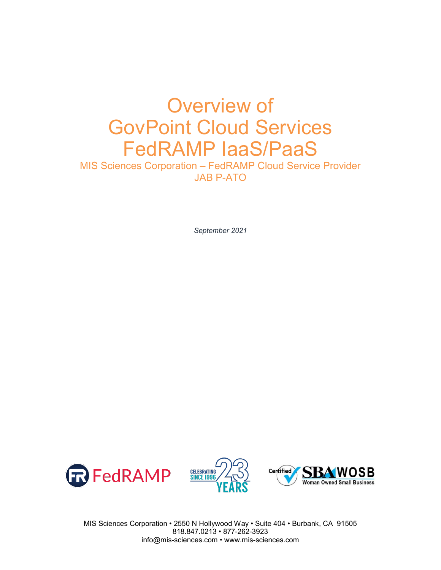# Overview of GovPoint Cloud Services FedRAMP IaaS/PaaS

MIS Sciences Corporation – FedRAMP Cloud Service Provider JAB P-ATO

*September 2021*







MIS Sciences Corporation • 2550 N Hollywood Way • Suite 404 • Burbank, CA 91505 818.847.0213 • 877-262-3923 info@mis-sciences.com • www.mis-sciences.com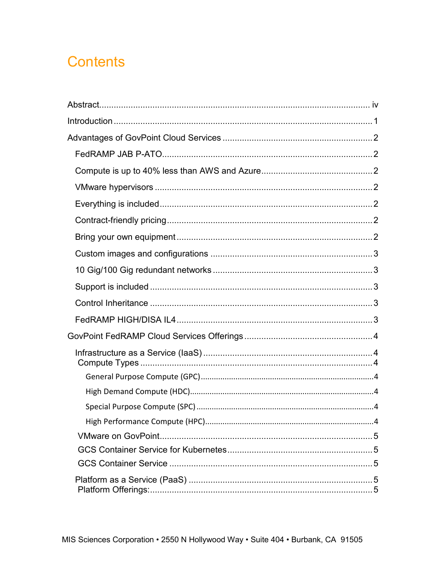# **Contents**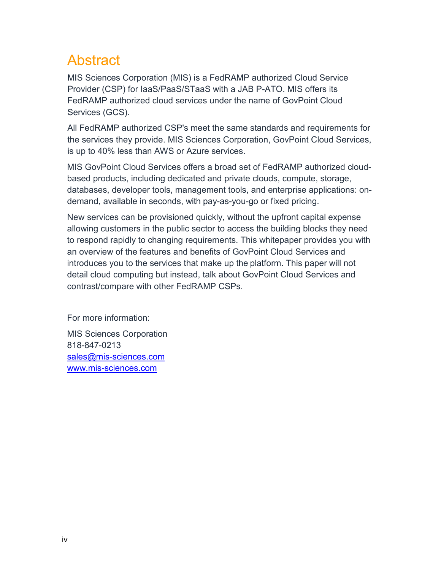# <span id="page-3-0"></span>Abstract

MIS Sciences Corporation (MIS) is a FedRAMP authorized Cloud Service Provider (CSP) for IaaS/PaaS/STaaS with a JAB P-ATO. MIS offers its FedRAMP authorized cloud services under the name of GovPoint Cloud Services (GCS).

All FedRAMP authorized CSP's meet the same standards and requirements for the services they provide. MIS Sciences Corporation, GovPoint Cloud Services, is up to 40% less than AWS or Azure services.

MIS GovPoint Cloud Services offers a broad set of FedRAMP authorized cloudbased products, including dedicated and private clouds, compute, storage, databases, developer tools, management tools, and enterprise applications: ondemand, available in seconds, with pay-as-you-go or fixed pricing.

New services can be provisioned quickly, without the upfront capital expense allowing customers in the public sector to access the building blocks they need to respond rapidly to changing requirements. This whitepaper provides you with an overview of the features and benefits of GovPoint Cloud Services and introduces you to the services that make up the platform. This paper will not detail cloud computing but instead, talk about GovPoint Cloud Services and contrast/compare with other FedRAMP CSPs.

For more information:

MIS Sciences Corporation 818-847-0213 [sales@mis-sciences.com](mailto:sales@mis-sciences.com) [www.mis-sciences.com](http://www.mis-sciences.com/)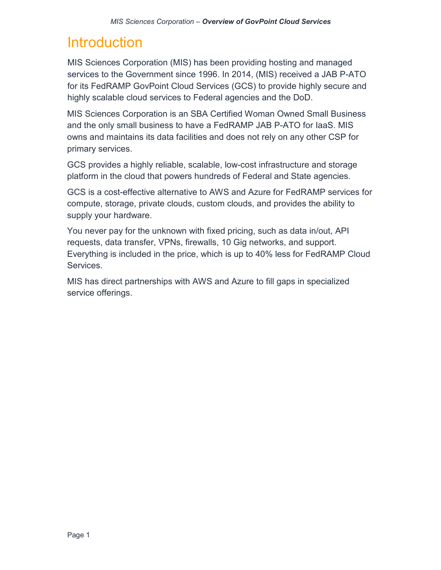# <span id="page-4-0"></span>**Introduction**

MIS Sciences Corporation (MIS) has been providing hosting and managed services to the Government since 1996. In 2014, (MIS) received a JAB P-ATO for its FedRAMP GovPoint Cloud Services (GCS) to provide highly secure and highly scalable cloud services to Federal agencies and the DoD.

MIS Sciences Corporation is an SBA Certified Woman Owned Small Business and the only small business to have a FedRAMP JAB P-ATO for IaaS. MIS owns and maintains its data facilities and does not rely on any other CSP for primary services.

GCS provides a highly reliable, scalable, low-cost infrastructure and storage platform in the cloud that powers hundreds of Federal and State agencies.

GCS is a cost-effective alternative to AWS and Azure for FedRAMP services for compute, storage, private clouds, custom clouds, and provides the ability to supply your hardware.

You never pay for the unknown with fixed pricing, such as data in/out, API requests, data transfer, VPNs, firewalls, 10 Gig networks, and support. Everything is included in the price, which is up to 40% less for FedRAMP Cloud Services.

MIS has direct partnerships with AWS and Azure to fill gaps in specialized service offerings.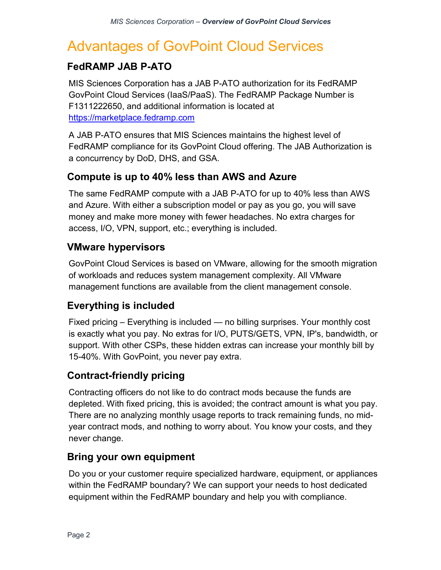# <span id="page-5-0"></span>Advantages of GovPoint Cloud Services

### <span id="page-5-1"></span>**FedRAMP JAB P-ATO**

MIS Sciences Corporation has a JAB P-ATO authorization for its FedRAMP GovPoint Cloud Services (IaaS/PaaS). The FedRAMP Package Number is F1311222650, and additional information is located at [https://marketplace.fedramp.com](https://marketplace.fedramp.com/)

A JAB P-ATO ensures that MIS Sciences maintains the highest level of FedRAMP compliance for its GovPoint Cloud offering. The JAB Authorization is a concurrency by DoD, DHS, and GSA.

#### <span id="page-5-2"></span>**Compute is up to 40% less than AWS and Azure**

The same FedRAMP compute with a JAB P-ATO for up to 40% less than AWS and Azure. With either a subscription model or pay as you go, you will save money and make more money with fewer headaches. No extra charges for access, I/O, VPN, support, etc.; everything is included.

#### <span id="page-5-3"></span>**VMware hypervisors**

GovPoint Cloud Services is based on VMware, allowing for the smooth migration of workloads and reduces system management complexity. All VMware management functions are available from the client management console.

#### <span id="page-5-4"></span>**Everything is included**

Fixed pricing – Everything is included — no billing surprises. Your monthly cost is exactly what you pay. No extras for I/O, PUTS/GETS, VPN, IP's, bandwidth, or support. With other CSPs, these hidden extras can increase your monthly bill by 15-40%. With GovPoint, you never pay extra.

#### <span id="page-5-5"></span>**Contract-friendly pricing**

Contracting officers do not like to do contract mods because the funds are depleted. With fixed pricing, this is avoided; the contract amount is what you pay. There are no analyzing monthly usage reports to track remaining funds, no midyear contract mods, and nothing to worry about. You know your costs, and they never change.

#### <span id="page-5-6"></span>**Bring your own equipment**

Do you or your customer require specialized hardware, equipment, or appliances within the FedRAMP boundary? We can support your needs to host dedicated equipment within the FedRAMP boundary and help you with compliance.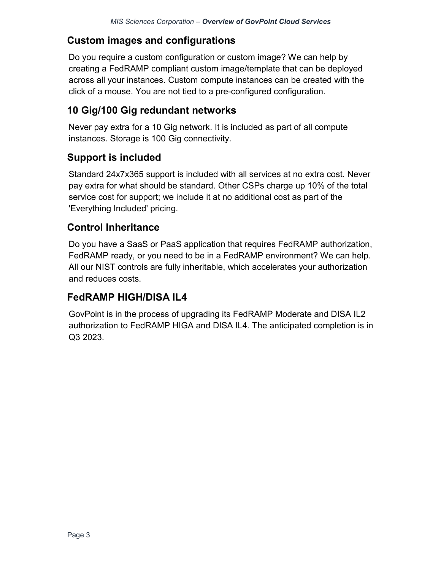## <span id="page-6-0"></span>**Custom images and configurations**

Do you require a custom configuration or custom image? We can help by creating a FedRAMP compliant custom image/template that can be deployed across all your instances. Custom compute instances can be created with the click of a mouse. You are not tied to a pre-configured configuration.

## <span id="page-6-1"></span>**10 Gig/100 Gig redundant networks**

Never pay extra for a 10 Gig network. It is included as part of all compute instances. Storage is 100 Gig connectivity.

## <span id="page-6-2"></span>**Support is included**

Standard 24x7x365 support is included with all services at no extra cost. Never pay extra for what should be standard. Other CSPs charge up 10% of the total service cost for support; we include it at no additional cost as part of the 'Everything Included' pricing.

#### <span id="page-6-3"></span>**Control Inheritance**

Do you have a SaaS or PaaS application that requires FedRAMP authorization, FedRAMP ready, or you need to be in a FedRAMP environment? We can help. All our NIST controls are fully inheritable, which accelerates your authorization and reduces costs.

## <span id="page-6-4"></span>**FedRAMP HIGH/DISA IL4**

GovPoint is in the process of upgrading its FedRAMP Moderate and DISA IL2 authorization to FedRAMP HIGA and DISA IL4. The anticipated completion is in Q3 2023.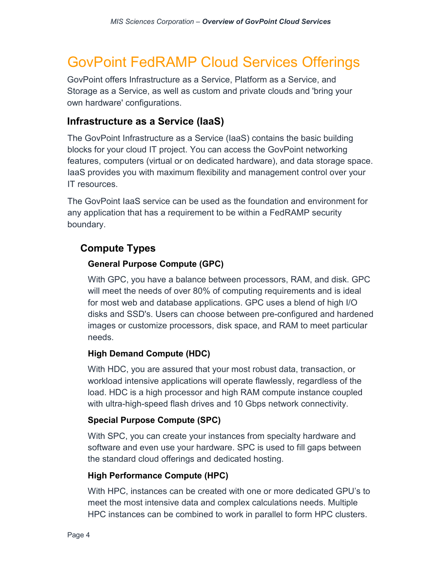# <span id="page-7-0"></span>GovPoint FedRAMP Cloud Services Offerings

GovPoint offers Infrastructure as a Service, Platform as a Service, and Storage as a Service, as well as custom and private clouds and 'bring your own hardware' configurations.

#### <span id="page-7-1"></span>**Infrastructure as a Service (IaaS)**

The GovPoint Infrastructure as a Service (IaaS) contains the basic building blocks for your cloud IT project. You can access the GovPoint networking features, computers (virtual or on dedicated hardware), and data storage space. IaaS provides you with maximum flexibility and management control over your IT resources.

The GovPoint IaaS service can be used as the foundation and environment for any application that has a requirement to be within a FedRAMP security boundary.

#### <span id="page-7-3"></span><span id="page-7-2"></span>**Compute Types**

#### **General Purpose Compute (GPC)**

With GPC, you have a balance between processors, RAM, and disk. GPC will meet the needs of over 80% of computing requirements and is ideal for most web and database applications. GPC uses a blend of high I/O disks and SSD's. Users can choose between pre-configured and hardened images or customize processors, disk space, and RAM to meet particular needs.

#### <span id="page-7-4"></span>**High Demand Compute (HDC)**

With HDC, you are assured that your most robust data, transaction, or workload intensive applications will operate flawlessly, regardless of the load. HDC is a high processor and high RAM compute instance coupled with ultra-high-speed flash drives and 10 Gbps network connectivity.

#### <span id="page-7-5"></span>**Special Purpose Compute (SPC)**

With SPC, you can create your instances from specialty hardware and software and even use your hardware. SPC is used to fill gaps between the standard cloud offerings and dedicated hosting.

#### <span id="page-7-6"></span>**High Performance Compute (HPC)**

With HPC, instances can be created with one or more dedicated GPU's to meet the most intensive data and complex calculations needs. Multiple HPC instances can be combined to work in parallel to form HPC clusters.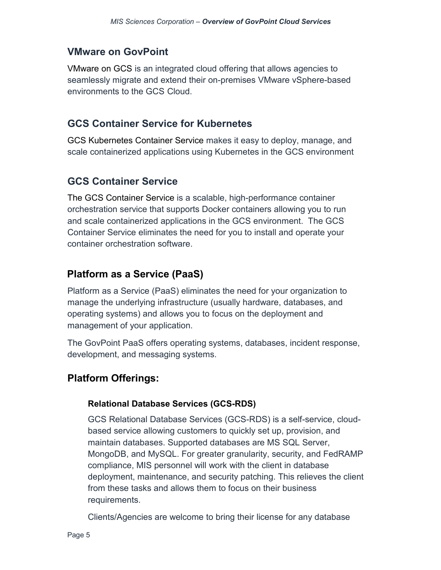### <span id="page-8-0"></span>**VMware on GovPoint**

VMware on GCS is an integrated cloud offering that allows agencies to seamlessly migrate and extend their on-premises VMware vSphere-based environments to the GCS Cloud.

#### <span id="page-8-1"></span>**GCS Container Service for Kubernetes**

[GCS Kubernetes Container Service m](https://aws.amazon.com/eks/)akes it easy to deploy, manage, and scale containerized applications using Kubernetes in the GCS environment

## <span id="page-8-2"></span>**GCS Container Service**

[The GCS Container Service is](https://aws.amazon.com/ecs/) a scalable, high-performance container orchestration service that supports Docker containers allowing you to run and scale containerized applications in the GCS environment. The GCS Container Service eliminates the need for you to install and operate your container orchestration software.

## <span id="page-8-3"></span>**Platform as a Service (PaaS)**

Platform as a Service (PaaS) eliminates the need for your organization to manage the underlying infrastructure (usually hardware, databases, and operating systems) and allows you to focus on the deployment and management of your application.

The GovPoint PaaS offers operating systems, databases, incident response, development, and messaging systems.

## <span id="page-8-5"></span><span id="page-8-4"></span>**Platform Offerings:**

#### **Relational Database Services (GCS-RDS)**

GCS Relational Database Services (GCS-RDS) is a self-service, cloudbased service allowing customers to quickly set up, provision, and maintain databases. Supported databases are MS SQL Server, MongoDB, and MySQL. For greater granularity, security, and FedRAMP compliance, MIS personnel will work with the client in database deployment, maintenance, and security patching. This relieves the client from these tasks and allows them to focus on their business requirements.

Clients/Agencies are welcome to bring their license for any database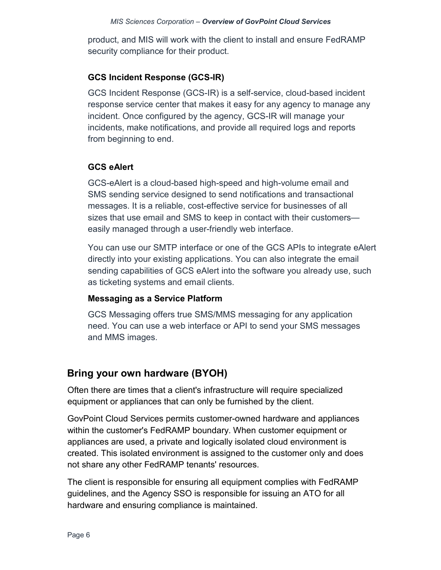product, and MIS will work with the client to install and ensure FedRAMP security compliance for their product.

#### <span id="page-9-0"></span>**GCS Incident Response (GCS-IR)**

GCS Incident Response (GCS-IR) is a self-service, cloud-based incident response service center that makes it easy for any agency to manage any incident. Once configured by the agency, GCS-IR will manage your incidents, make notifications, and provide all required logs and reports from beginning to end.

#### <span id="page-9-1"></span>**GCS eAlert**

GCS-eAlert is a cloud-based high-speed and high-volume email and SMS sending service designed to send notifications and transactional messages. It is a reliable, cost-effective service for businesses of all sizes that use email and SMS to keep in contact with their customers easily managed through a user-friendly web interface.

You can use our SMTP interface or one of the GCS APIs to integrate eAlert directly into your existing applications. You can also integrate the email sending capabilities of GCS eAlert into the software you already use, such as ticketing systems and email clients.

#### <span id="page-9-2"></span>**Messaging as a Service Platform**

GCS Messaging offers true SMS/MMS messaging for any application need. You can use a web interface or API to send your SMS messages and MMS images.

## <span id="page-9-3"></span>**Bring your own hardware (BYOH)**

Often there are times that a client's infrastructure will require specialized equipment or appliances that can only be furnished by the client.

GovPoint Cloud Services permits customer-owned hardware and appliances within the customer's FedRAMP boundary. When customer equipment or appliances are used, a private and logically isolated cloud environment is created. This isolated environment is assigned to the customer only and does not share any other FedRAMP tenants' resources.

The client is responsible for ensuring all equipment complies with FedRAMP guidelines, and the Agency SSO is responsible for issuing an ATO for all hardware and ensuring compliance is maintained.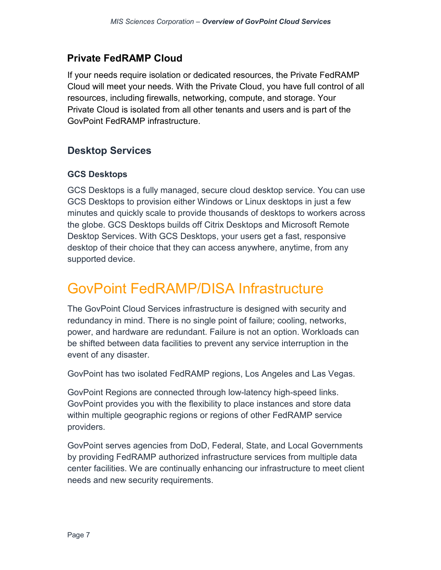## <span id="page-10-0"></span>**Private FedRAMP Cloud**

If your needs require isolation or dedicated resources, the Private FedRAMP Cloud will meet your needs. With the Private Cloud, you have full control of all resources, including firewalls, networking, compute, and storage. Your Private Cloud is isolated from all other tenants and users and is part of the GovPoint FedRAMP infrastructure.

## <span id="page-10-1"></span>**Desktop Services**

#### <span id="page-10-2"></span>**GCS Desktops**

GCS Desktops is a fully managed, secure cloud desktop service. You can use GCS Desktops to provision either Windows or Linux desktops in just a few minutes and quickly scale to provide thousands of desktops to workers across the globe. GCS Desktops builds off Citrix Desktops and Microsoft Remote Desktop Services. With GCS Desktops, your users get a fast, responsive desktop of their choice that they can access anywhere, anytime, from any supported device.

# <span id="page-10-3"></span>GovPoint FedRAMP/DISA Infrastructure

The GovPoint Cloud Services infrastructure is designed with security and redundancy in mind. There is no single point of failure; cooling, networks, power, and hardware are redundant. Failure is not an option. Workloads can be shifted between data facilities to prevent any service interruption in the event of any disaster.

GovPoint has two isolated FedRAMP regions, Los Angeles and Las Vegas.

GovPoint Regions are connected through low-latency high-speed links. GovPoint provides you with the flexibility to place instances and store data within multiple geographic regions or regions of other FedRAMP service providers.

GovPoint serves agencies from DoD, Federal, State, and Local Governments by providing FedRAMP authorized infrastructure services from multiple data center facilities. We are continually enhancing our infrastructure to meet client needs and new security requirements.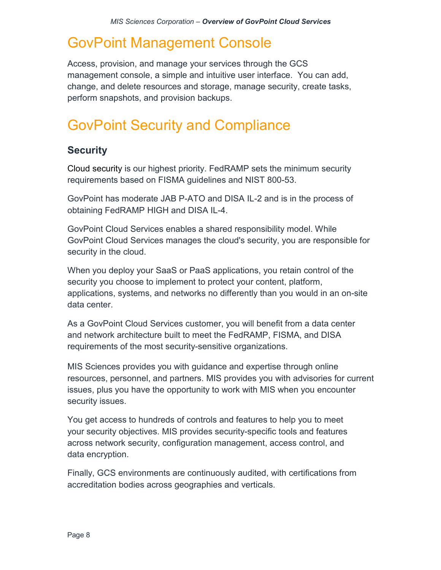# <span id="page-11-0"></span>GovPoint Management Console

Access, provision, and manage your services through the GCS management console, a simple and intuitive user interface. You can add, change, and delete resources and storage, manage security, create tasks, perform snapshots, and provision backups.

# <span id="page-11-1"></span>GovPoint Security and Compliance

#### <span id="page-11-2"></span>**Security**

Cloud security is our highest priority. FedRAMP sets the minimum security requirements based on FISMA guidelines and NIST 800-53.

GovPoint has moderate JAB P-ATO and DISA IL-2 and is in the process of obtaining FedRAMP HIGH and DISA IL-4.

GovPoint Cloud Services enables a shared responsibility model. While GovPoint Cloud Services manages the cloud's security, you are responsible for security in the cloud.

When you deploy your SaaS or PaaS applications, you retain control of the security you choose to implement to protect your content, platform, applications, systems, and networks no differently than you would in an on-site data center.

As a GovPoint Cloud Services customer, you will benefit from a data center and network architecture built to meet the FedRAMP, FISMA, and DISA requirements of the most security-sensitive organizations.

MIS Sciences provides you with guidance and expertise through online resources, personnel, and partners. MIS provides you with advisories for current issues, plus you have the opportunity to work with MIS when you encounter security issues.

You get access to hundreds of controls and features to help you to meet your security objectives. MIS provides security-specific tools and features across network security, configuration management, access control, and data encryption.

Finally, GCS environments are continuously audited, with certifications from accreditation bodies across geographies and verticals.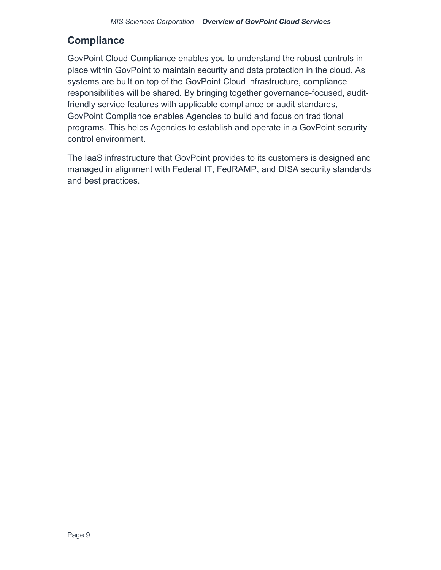### <span id="page-12-0"></span>**Compliance**

GovPoint Cloud Compliance enables you to understand the robust controls in place within GovPoint to maintain security and data protection in the cloud. As systems are built on top of the GovPoint Cloud infrastructure, compliance responsibilities will be shared. By bringing together governance-focused, auditfriendly service features with applicable compliance or audit standards, GovPoint Compliance enables Agencies to build and focus on traditional programs. This helps Agencies to establish and operate in a GovPoint security control environment.

The IaaS infrastructure that GovPoint provides to its customers is designed and managed in alignment with Federal IT, FedRAMP, and DISA security standards and best practices.